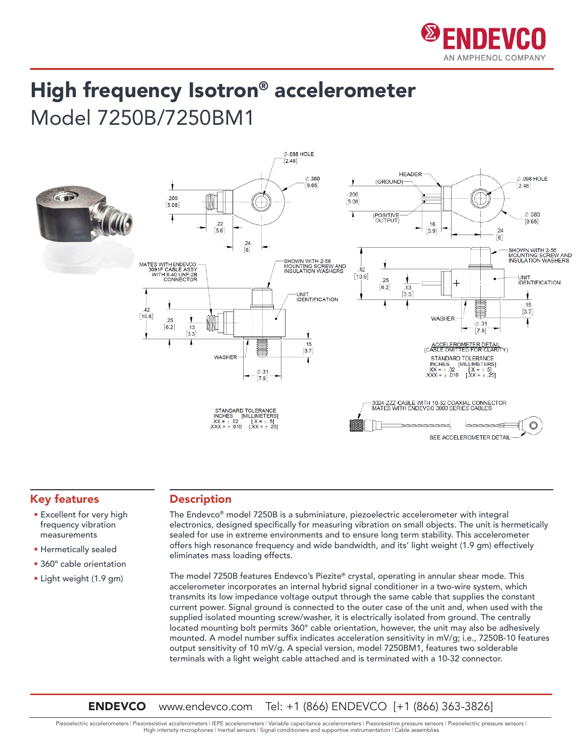

## High frequency Isotron® accelerometer Model 7250B/7250BM1



## Key features

- Excellent for very high frequency vibration measurements
- Hermetically sealed
- 360° cable orientation
- Light weight (1.9 gm)

## Description

The Endevco® model 7250B is a subminiature, piezoelectric accelerometer with integral electronics, designed specifically for measuring vibration on small objects. The unit is hermetically sealed for use in extreme environments and to ensure long term stability. This accelerometer offers high resonance frequency and wide bandwidth, and its' light weight (1.9 gm) effectively eliminates mass loading effects.

The model 7250B features Endevco's Piezite® crystal, operating in annular shear mode. This accelerometer incorporates an internal hybrid signal conditioner in a two-wire system, which transmits its low impedance voltage output through the same cable that supplies the constant current power. Signal ground is connected to the outer case of the unit and, when used with the supplied isolated mounting screw/washer, it is electrically isolated from ground. The centrally located mounting bolt permits 360° cable orientation, however, the unit may also be adhesively mounted. A model number suffix indicates acceleration sensitivity in mV/g; i.e., 7250B-10 features output sensitivity of 10 mV/g. A special version, model 7250BM1, features two solderable terminals with a light weight cable attached and is terminated with a 10-32 connector.

**ENDEVCO** www.endevco.com Tel: +1 (866) ENDEVCO [+1 (866) 363-3826]

Piezoelectric accelerometers | Piezoresistive accelerometers | IEPE accelerometers | Variable capacitance accelerometers | Piezoresistive pressure sensors | Piezoelectric pressure sensors | High intensity microphones | Inertial sensors | Signal conditioners and supportive instrumentation | Cable assemblies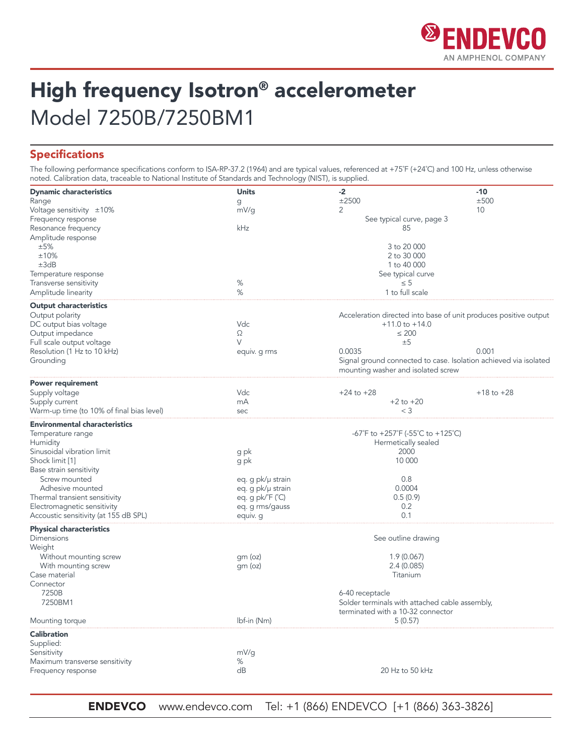

# High frequency Isotron® accelerometer Model 7250B/7250BM1

## Specifications

The following performance specifications conform to ISA-RP-37.2 (1964) and are typical values, referenced at +75˚F (+24˚C) and 100 Hz, unless otherwise noted. Calibration data, traceable to National Institute of Standards and Technology (NIST), is supplied.

| <b>Dynamic characteristics</b>            | <b>Units</b>      | $-2$                                                             | $-10$          |
|-------------------------------------------|-------------------|------------------------------------------------------------------|----------------|
| Range                                     | g                 | ±2500                                                            | ±500           |
| Voltage sensitivity ±10%                  | mV/g              | 2                                                                | 10             |
| Frequency response                        |                   | See typical curve, page 3                                        |                |
| Resonance frequency                       | kHz               | 85                                                               |                |
| Amplitude response                        |                   |                                                                  |                |
| ±5%                                       |                   | 3 to 20 000                                                      |                |
| ±10%                                      |                   | 2 to 30 000                                                      |                |
| ±3dB                                      |                   | 1 to 40 000                                                      |                |
| Temperature response                      |                   | See typical curve                                                |                |
| Transverse sensitivity                    | $\%$              | $\leq 5$                                                         |                |
| Amplitude linearity                       | %                 | 1 to full scale                                                  |                |
| <b>Output characteristics</b>             |                   |                                                                  |                |
| Output polarity                           |                   | Acceleration directed into base of unit produces positive output |                |
| DC output bias voltage                    | Vdc               | $+11.0$ to $+14.0$                                               |                |
| Output impedance                          | Ω                 | $\leq 200$                                                       |                |
| Full scale output voltage                 | V                 | ±5                                                               |                |
| Resolution (1 Hz to 10 kHz)               | equiv. g rms      | 0.0035                                                           | 0.001          |
| Grounding                                 |                   | Signal ground connected to case. Isolation achieved via isolated |                |
|                                           |                   | mounting washer and isolated screw                               |                |
| <b>Power requirement</b>                  |                   |                                                                  |                |
| Supply voltage                            | Vdc               | $+24$ to $+28$                                                   | $+18$ to $+28$ |
| Supply current                            | mA                | $+2$ to $+20$                                                    |                |
| Warm-up time (to 10% of final bias level) | sec               | $<$ 3                                                            |                |
| <b>Environmental characteristics</b>      |                   |                                                                  |                |
| Temperature range                         |                   | -67°F to +257°F (-55°C to +125°C)                                |                |
| Humidity                                  |                   | Hermetically sealed                                              |                |
| Sinusoidal vibration limit                | g pk              | 2000                                                             |                |
| Shock limit [1]                           | g pk              | 10 000                                                           |                |
| Base strain sensitivity                   |                   |                                                                  |                |
| Screw mounted                             | eq. g pk/µ strain | 0.8                                                              |                |
| Adhesive mounted                          | eq. g pk/µ strain | 0.0004                                                           |                |
| Thermal transient sensitivity             | eq. g pk/°F (°C)  | 0.5(0.9)                                                         |                |
| Electromagnetic sensitivity               | eq. g rms/gauss   | 0.2                                                              |                |
| Accoustic sensitivity (at 155 dB SPL)     | equiv. g          | 0.1                                                              |                |
| <b>Physical characteristics</b>           |                   |                                                                  |                |
| Dimensions<br>Weight                      |                   | See outline drawing                                              |                |
| Without mounting screw                    | gm (oz)           | 1.9(0.067)                                                       |                |
| With mounting screw                       | gm (oz)           | 2.4(0.085)                                                       |                |
| Case material                             |                   | Titanium                                                         |                |
| Connector                                 |                   |                                                                  |                |
| 7250B                                     |                   | 6-40 receptacle                                                  |                |
| 7250BM1                                   |                   | Solder terminals with attached cable assembly,                   |                |
|                                           |                   | terminated with a 10-32 connector                                |                |
| Mounting torque                           | Ibf-in (Nm)       | 5(0.57)                                                          |                |
| <b>Calibration</b>                        |                   |                                                                  |                |
| Supplied:                                 |                   |                                                                  |                |
| Sensitivity                               | mV/g              |                                                                  |                |
| Maximum transverse sensitivity            | %                 |                                                                  |                |
| Frequency response                        | dB                | 20 Hz to 50 kHz                                                  |                |
|                                           |                   |                                                                  |                |

ENDEVCO www.endevco.com Tel: +1 (866) ENDEVCO [+1 (866) 363-3826]